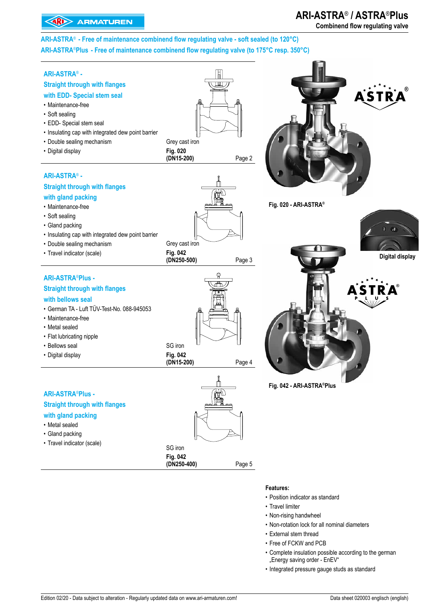# **ARI-ASTRA**® **/ ASTRA**®**Plus**

**Combinend flow regulating valve**

**ARI-ASTRA**® **- Free of maintenance combinend flow regulating valve - soft sealed (to 120°C) ARI-ASTRA**®**Plus - Free of maintenance combinend flow regulating valve (to 175°C resp. 350°C)**



- Position indicator as standard
- Travel limiter
- Non-rising handwheel
- Non-rotation lock for all nominal diameters
- External stem thread
- Free of FCKW and PCB
- Complete insulation possible according to the german "Energy saving order - EnEV"
- Integrated pressure gauge studs as standard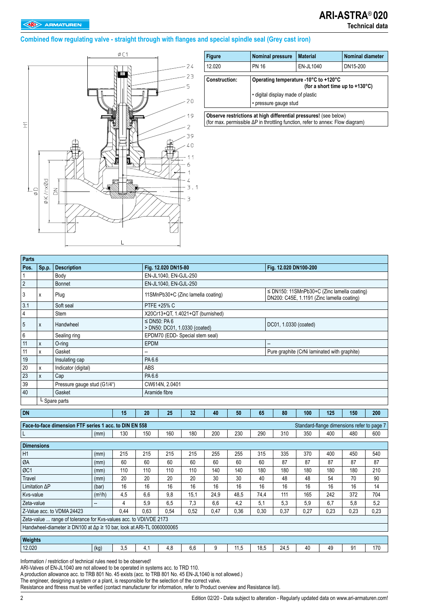#### **Combined flow regulating valve - straight through with flanges and special spindle seal (Grey cast iron)**



| <b>Figure</b>        | <b>Nominal pressure</b>           | <b>Material</b>                                                                    | <b>Nominal diameter</b> |
|----------------------|-----------------------------------|------------------------------------------------------------------------------------|-------------------------|
| 12.020               | <b>PN 16</b>                      | EN-JL1040                                                                          | DN15-200                |
| <b>Construction:</b> |                                   | Operating temperature -10°C to +120°C<br>(for a short time up to $+130^{\circ}$ C) |                         |
|                      | . digital display made of plastic |                                                                                    |                         |
|                      | • pressure gauge stud             |                                                                                    |                         |
|                      |                                   |                                                                                    |                         |

**Observe restrictions at high differential pressures!** (see below) (for max. permissible ΔP in throttling function, refer to annex: Flow diagram)

| <b>Parts</b>                                                                                                       |              |                                                                                      |                     |     |                          |                                                                       |      |      |      |      |                                                                                           |     |     |                                            |     |  |  |
|--------------------------------------------------------------------------------------------------------------------|--------------|--------------------------------------------------------------------------------------|---------------------|-----|--------------------------|-----------------------------------------------------------------------|------|------|------|------|-------------------------------------------------------------------------------------------|-----|-----|--------------------------------------------|-----|--|--|
| Pos.                                                                                                               | Sp.p.        | <b>Description</b>                                                                   |                     |     |                          | Fig. 12.020 DN15-80<br>Fig. 12.020 DN100-200<br>EN-JL1040, EN-GJL-250 |      |      |      |      |                                                                                           |     |     |                                            |     |  |  |
| 1                                                                                                                  |              | Body                                                                                 |                     |     |                          |                                                                       |      |      |      |      |                                                                                           |     |     |                                            |     |  |  |
| $\overline{2}$                                                                                                     |              | <b>Bonnet</b>                                                                        |                     |     |                          | EN-JL1040, EN-GJL-250                                                 |      |      |      |      |                                                                                           |     |     |                                            |     |  |  |
| 3                                                                                                                  | x            | Plug                                                                                 |                     |     |                          | 11SMnPb30+C (Zinc lamella coating)                                    |      |      |      |      | ≤ DN150: 11SMnPb30+C (Zinc lamella coating)<br>DN200: C45E, 1.1191 (Zinc lamella coating) |     |     |                                            |     |  |  |
| 3.1                                                                                                                |              | Soft seal                                                                            |                     |     |                          | PTFE +25% C                                                           |      |      |      |      |                                                                                           |     |     |                                            |     |  |  |
| 4                                                                                                                  |              | Stem                                                                                 |                     |     |                          | X20Cr13+QT, 1.4021+QT (burnished)                                     |      |      |      |      |                                                                                           |     |     |                                            |     |  |  |
| 5                                                                                                                  | X            | Handwheel                                                                            |                     |     |                          | $\leq$ DN50: PA 6<br>> DN50: DC01, 1.0330 (coated)                    |      |      |      |      | DC01, 1.0330 (coated)                                                                     |     |     |                                            |     |  |  |
| 6                                                                                                                  |              | Sealing ring                                                                         |                     |     |                          | EPDM70 (EDD- Special stem seal)                                       |      |      |      |      |                                                                                           |     |     |                                            |     |  |  |
| 11                                                                                                                 | X            | $O$ -ring                                                                            |                     |     | EPDM                     |                                                                       |      |      |      |      |                                                                                           |     |     |                                            |     |  |  |
| 11                                                                                                                 | X            | Gasket                                                                               |                     |     | $\overline{\phantom{a}}$ |                                                                       |      |      |      |      | Pure graphite (CrNi laminated with graphite)                                              |     |     |                                            |     |  |  |
| 19                                                                                                                 |              | Insulating cap                                                                       |                     |     | PA 6.6                   |                                                                       |      |      |      |      |                                                                                           |     |     |                                            |     |  |  |
| 20                                                                                                                 | X            | Indicator (digital)                                                                  |                     |     | <b>ABS</b>               |                                                                       |      |      |      |      |                                                                                           |     |     |                                            |     |  |  |
| 23                                                                                                                 | $\mathsf{x}$ | Cap                                                                                  |                     |     | PA 6.6                   |                                                                       |      |      |      |      |                                                                                           |     |     |                                            |     |  |  |
| 39                                                                                                                 |              | Pressure gauge stud (G1/4")                                                          |                     |     |                          | CW614N, 2.0401                                                        |      |      |      |      |                                                                                           |     |     |                                            |     |  |  |
| 40                                                                                                                 |              | Gasket                                                                               |                     |     |                          | Aramide fibre                                                         |      |      |      |      |                                                                                           |     |     |                                            |     |  |  |
| L Spare parts                                                                                                      |              |                                                                                      |                     |     |                          |                                                                       |      |      |      |      |                                                                                           |     |     |                                            |     |  |  |
| <b>DN</b><br>15<br>20<br>25<br>32<br>40<br>50<br>65<br>80<br>100<br>125<br>150<br>200                              |              |                                                                                      |                     |     |                          |                                                                       |      |      |      |      |                                                                                           |     |     |                                            |     |  |  |
|                                                                                                                    |              |                                                                                      |                     |     |                          |                                                                       |      |      |      |      |                                                                                           |     |     |                                            |     |  |  |
|                                                                                                                    |              | Face-to-face dimension FTF series 1 acc. to DIN EN 558                               |                     |     |                          |                                                                       |      |      |      |      |                                                                                           |     |     | Standard-flange dimensions refer to page 7 |     |  |  |
| L                                                                                                                  |              |                                                                                      | (mm)                | 130 | 150                      | 160                                                                   | 180  | 200  | 230  | 290  | 310                                                                                       | 350 | 400 | 480                                        | 600 |  |  |
| <b>Dimensions</b>                                                                                                  |              |                                                                                      |                     |     |                          |                                                                       |      |      |      |      |                                                                                           |     |     |                                            |     |  |  |
| H1                                                                                                                 |              |                                                                                      | (mm)                | 215 | 215                      | 215                                                                   | 215  | 255  | 255  | 315  | 335                                                                                       | 370 | 400 | 450                                        | 540 |  |  |
| ØA                                                                                                                 |              |                                                                                      | (mm)                | 60  | 60                       | 60                                                                    | 60   | 60   | 60   | 60   | 87                                                                                        | 87  | 87  | 87                                         | 87  |  |  |
| ØC1                                                                                                                |              |                                                                                      | (mm)                | 110 | 110                      | 110                                                                   | 110  | 140  | 140  | 180  | 180                                                                                       | 180 | 180 | 180                                        | 210 |  |  |
| Travel                                                                                                             |              |                                                                                      | (mm)                | 20  | 20                       | 20                                                                    | 20   | 30   | 30   | 40   | 48                                                                                        | 48  | 54  | 70                                         | 90  |  |  |
| Limitation <sub>AP</sub>                                                                                           |              |                                                                                      | (bar)               | 16  | 16                       | 16                                                                    | 16   | 16   | 16   | 16   | 16                                                                                        | 16  | 16  | 16                                         | 14  |  |  |
| Kvs-value                                                                                                          |              |                                                                                      | (m <sup>3</sup> /h) | 4,5 | 6,6                      | 9,8                                                                   | 15,1 | 24,9 | 48,5 | 74,4 | 111                                                                                       | 165 | 242 | 372                                        | 704 |  |  |
| 4<br>5,9<br>Zeta-value<br>−−                                                                                       |              |                                                                                      |                     |     |                          |                                                                       | 7,3  | 6,6  | 4,2  | 5,1  | 5,3                                                                                       | 5,9 | 6,7 | 5,8                                        | 5,2 |  |  |
| 0,44<br>0,63<br>Z-Value acc. to VDMA 24423<br>0,54<br>0.52<br>0,36<br>0.30<br>0.27<br>0.23<br>0.23<br>0.47<br>0.37 |              |                                                                                      |                     |     |                          |                                                                       |      |      | 0.23 |      |                                                                                           |     |     |                                            |     |  |  |
|                                                                                                                    |              | Zeta-value  range of tolerance for Kvs-values acc. to VDI/VDE 2173                   |                     |     |                          |                                                                       |      |      |      |      |                                                                                           |     |     |                                            |     |  |  |
|                                                                                                                    |              | Handwheel-diameter $\geq$ DN100 at $\Delta p \geq 10$ bar, look at ARI-TL 0060000065 |                     |     |                          |                                                                       |      |      |      |      |                                                                                           |     |     |                                            |     |  |  |
|                                                                                                                    |              |                                                                                      |                     |     |                          |                                                                       |      |      |      |      |                                                                                           |     |     |                                            |     |  |  |
| Weights                                                                                                            |              |                                                                                      |                     |     |                          |                                                                       |      |      |      |      |                                                                                           |     |     |                                            |     |  |  |
| 12.020                                                                                                             |              |                                                                                      | (kg)                | 3,5 | 4,1                      | 4,8                                                                   | 6.6  | 9    | 11,5 | 18.5 | 24,5                                                                                      | 40  | 49  | 91                                         | 170 |  |  |

Information / restriction of technical rules need to be observed!

ARI-Valves of EN-JL1040 are not allowed to be operated in systems acc. to TRD 110.

A production allowance acc. to TRB 801 No. 45 exists (acc. to TRB 801 No. 45 EN-JL1040 is not allowed.)

The engineer, designing a system or a plant, is responsible for the selection of the correct valve.

Resistance and fitness must be verified (contact manufacturer for information, refer to Product overview and Resistance list).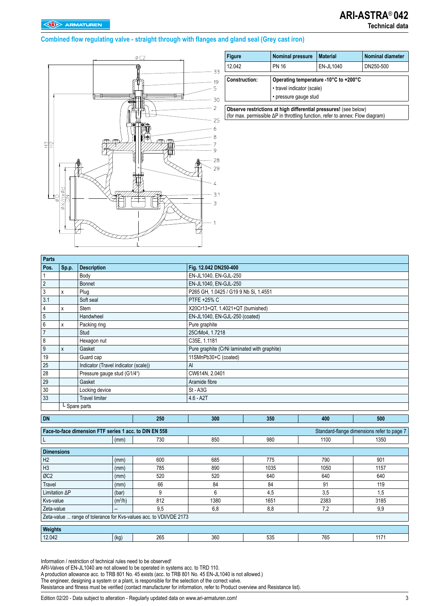# **ARI-ASTRA**® **042**

### **Technical data**

#### **Combined flow regulating valve - straight through with flanges and gland seal (Grey cast iron)**



| <b>Figure</b>                                                   | <b>Nominal pressure</b>                             | <b>Material</b>                       | <b>Nominal diameter</b> |  |  |  |  |  |
|-----------------------------------------------------------------|-----------------------------------------------------|---------------------------------------|-------------------------|--|--|--|--|--|
| 12.042                                                          | <b>PN 16</b>                                        | EN-JL1040                             | DN250-500               |  |  |  |  |  |
| <b>Construction:</b>                                            | • travel indicator (scale)<br>· pressure gauge stud | Operating temperature -10°C to +200°C |                         |  |  |  |  |  |
| Observe restrictions at high differential pressures (see below) |                                                     |                                       |                         |  |  |  |  |  |

**Observe restrictions at high differential pressures!** (see below) (for max. permissible ΔP in throttling function, refer to annex: Flow diagram)

| Parts            |       |                                      |                                              |
|------------------|-------|--------------------------------------|----------------------------------------------|
| Pos.             | Sp.p. | <b>Description</b>                   | Fig. 12.042 DN250-400                        |
|                  |       | Body                                 | EN-JL1040, EN-GJL-250                        |
| $\overline{c}$   |       | Bonnet                               | EN-JL1040, EN-GJL-250                        |
| 3                | X     | Plug                                 | P265 GH, 1.0425 / G19 9 Nb Si, 1.4551        |
| 3.1              |       | Soft seal                            | PTFE +25% C                                  |
| 4                | X     | Stem                                 | X20Cr13+QT, 1.4021+QT (burnished)            |
| $\overline{5}$   |       | Handwheel                            | EN-JL1040, EN-GJL-250 (coated)               |
| $\boldsymbol{6}$ | X     | Packing ring                         | Pure graphite                                |
| $\overline{7}$   |       | Stud                                 | 25CrMo4, 1.7218                              |
| 8                |       | Hexagon nut                          | C35E, 1.1181                                 |
| 9                | X     | Gasket                               | Pure graphite (CrNi laminated with graphite) |
| 19               |       | Guard cap                            | 11SMnPb30+C (coated)                         |
| 25               |       | Indicator (Travel indicator (scale)) | AI                                           |
| 28               |       | Pressure gauge stud (G1/4")          | CW614N, 2.0401                               |
| 29               |       | Gasket                               | Aramide fibre                                |
| 30               |       | Locking device                       | $St - A3G$                                   |
| 33               |       | <b>Travel limiter</b>                | $4.6 - A2T$                                  |
|                  |       | L Spare parts                        |                                              |

| <b>DN</b>                                                          |           | 250 | 300  | 350  | 400  | 500                                        |
|--------------------------------------------------------------------|-----------|-----|------|------|------|--------------------------------------------|
|                                                                    |           |     |      |      |      |                                            |
| Face-to-face dimension FTF series 1 acc. to DIN EN 558             |           |     |      |      |      | Standard-flange dimensions refer to page 7 |
| ᆞ                                                                  | (mm)      | 730 | 850  | 980  | 1100 | 1350                                       |
|                                                                    |           |     |      |      |      |                                            |
| <b>Dimensions</b>                                                  |           |     |      |      |      |                                            |
| H <sub>2</sub>                                                     | (mm)      | 600 | 685  | 775  | 790  | 901                                        |
| H <sub>3</sub>                                                     | (mm)      | 785 | 890  | 1035 | 1050 | 1157                                       |
| ØC <sub>2</sub>                                                    | (mm)      | 520 | 520  | 640  | 640  | 640                                        |
| Travel                                                             | (mm)      | 66  | 84   | 84   | 91   | 119                                        |
| Limitation AP                                                      | (bar)     | 9   | 6    | 4,5  | 3,5  | 1,5                                        |
| Kvs-value                                                          | $(m^3/h)$ | 812 | 1380 | 1651 | 2383 | 3185                                       |
| Zeta-value                                                         | $- -$     | 9,5 | 6,8  | 8,8  | 7,2  | 9,9                                        |
| Zeta-value  range of tolerance for Kvs-values acc. to VDI/VDE 2173 |           |     |      |      |      |                                            |
|                                                                    |           |     |      |      |      |                                            |
| Weights                                                            |           |     |      |      |      |                                            |
| 12.042                                                             | (kg)      | 265 | 360  | 535  | 765  | 1171                                       |

Information / restriction of technical rules need to be observed!

ARI-Valves of EN-JL1040 are not allowed to be operated in systems acc. to TRD 110.

A production allowance acc. to TRB 801 No. 45 exists (acc. to TRB 801 No. 45 EN-JL1040 is not allowed.)

The engineer, designing a system or a plant, is responsible for the selection of the correct valve.

Resistance and fitness must be verified (contact manufacturer for information, refer to Product overview and Resistance list).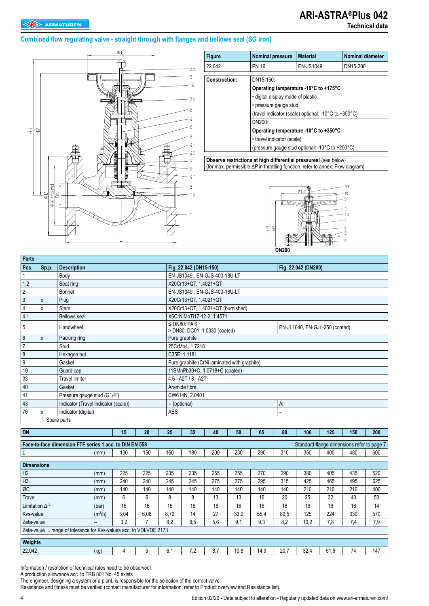## **ARI-ASTRA**®**Plus 042**

#### **Combined flow regulating valve - straight through with flanges and bellows seal (SG iron)**



| 22.042<br><b>EN-JS1049</b><br>DN15-200<br><b>PN 16</b><br>DN15-150:<br>Operating temperature -10°C to +175°C<br>. digital display made of plastic<br>• pressure gauge stud<br>(travel indicator (scale) optional: -10°C to +350°C)<br>$DN200+$ | <b>Figure</b> | <b>Nominal pressure</b> | <b>Material</b> | Nominal diameter |  |  |  |
|------------------------------------------------------------------------------------------------------------------------------------------------------------------------------------------------------------------------------------------------|---------------|-------------------------|-----------------|------------------|--|--|--|
| <b>Construction:</b>                                                                                                                                                                                                                           |               |                         |                 |                  |  |  |  |
| Operating temperature -10°C to +350°C<br>• travel indicator (scale)<br>(pressure gauge stud optional: -10°C to +200°C)                                                                                                                         |               |                         |                 |                  |  |  |  |

**Observe restrictions at high differential pressures!** (see below) (for max. permissible ΔP in throttling function, refer to annex: Flow diagram)



| Parts           |       |                                               |  |              |                  |                                                    |    |    |  |    |                                |     |     |     |  |
|-----------------|-------|-----------------------------------------------|--|--------------|------------------|----------------------------------------------------|----|----|--|----|--------------------------------|-----|-----|-----|--|
| Pos.            | Sp.p. | <b>Description</b>                            |  |              |                  | Fig. 22.042 (DN15-150)                             |    |    |  |    | Fig. 22.042 (DN200)            |     |     |     |  |
|                 |       | Body                                          |  |              |                  | EN-JS1049, EN-GJS-400-18U-LT                       |    |    |  |    |                                |     |     |     |  |
| 1.2             |       | Seat ring                                     |  |              |                  | X20Cr13+QT, 1.4021+QT                              |    |    |  |    |                                |     |     |     |  |
| $\overline{c}$  |       | Bonnet                                        |  |              |                  | EN-JS1049, EN-GJS-400-18U-LT                       |    |    |  |    |                                |     |     |     |  |
| $\mathfrak{Z}$  | X     | Plug                                          |  |              |                  | X20Cr13+QT, 1.4021+QT                              |    |    |  |    |                                |     |     |     |  |
| $\overline{4}$  | x     | Stem                                          |  |              |                  | X20Cr13+QT, 1.4021+QT (burnished)                  |    |    |  |    |                                |     |     |     |  |
| 4.1             |       | <b>Bellows seal</b>                           |  |              |                  | X6CrNiMoTi17-12-2, 1.4571                          |    |    |  |    |                                |     |     |     |  |
| 5               |       | Handwheel                                     |  |              |                  | $\leq$ DN80: PA 6<br>> DN80: DC01, 1.0330 (coated) |    |    |  |    | EN-JL1040, EN-GJL-250 (coated) |     |     |     |  |
| $6\phantom{1}6$ | X     | Packing ring                                  |  |              |                  | Pure graphite                                      |    |    |  |    |                                |     |     |     |  |
| $\overline{7}$  |       | Stud                                          |  |              |                  | 25CrMo4, 1.7218                                    |    |    |  |    |                                |     |     |     |  |
| $\,8\,$         |       | Hexagon nut                                   |  |              |                  | C35E, 1.1181                                       |    |    |  |    |                                |     |     |     |  |
| 9               |       | Gasket                                        |  |              |                  | Pure graphite (CrNi laminated with graphite)       |    |    |  |    |                                |     |     |     |  |
| 19              |       | Guard cap                                     |  |              |                  | 11SMnPb30+C, 1.0718+C (coated)                     |    |    |  |    |                                |     |     |     |  |
| 33              |       | <b>Travel limiter</b>                         |  |              |                  | $4.6 - A2T / 8 - A2T$                              |    |    |  |    |                                |     |     |     |  |
| 40              |       | Gasket                                        |  |              |                  | Aramide fibre                                      |    |    |  |    |                                |     |     |     |  |
| 41              |       | Pressure gauge stud (G1/4")<br>CW614N, 2.0401 |  |              |                  |                                                    |    |    |  |    |                                |     |     |     |  |
| 43              |       | Indicator (Travel indicator (scale))          |  | $\mathsf{A}$ |                  |                                                    |    |    |  |    |                                |     |     |     |  |
| 76              | x     | Indicator (digital)                           |  |              | <b>ABS</b><br>-- |                                                    |    |    |  |    |                                |     |     |     |  |
|                 |       | L Spare parts                                 |  |              |                  |                                                    |    |    |  |    |                                |     |     |     |  |
| DN              |       |                                               |  | 20           | 25               |                                                    | 40 | 50 |  | 80 | 100                            | 125 | 150 | 200 |  |
| 15<br>32<br>65  |       |                                               |  |              |                  |                                                    |    |    |  |    |                                |     |     |     |  |

| Face-to-face dimension FTF series 1 acc. to DIN EN 558<br>Standard-flange dimensions refer to page 7 |                     |      |      |      |     |     |      |      |      |      |      |     |     |
|------------------------------------------------------------------------------------------------------|---------------------|------|------|------|-----|-----|------|------|------|------|------|-----|-----|
| L                                                                                                    | (mm)                | 130  | 150  | 160  | 180 | 200 | 230  | 290  | 310  | 350  | 400  | 480 | 600 |
| <b>Dimensions</b>                                                                                    |                     |      |      |      |     |     |      |      |      |      |      |     |     |
| H <sub>2</sub>                                                                                       | (mm)                | 225  | 225  | 235  | 235 | 255 | 255  | 270  | 290  | 380  | 405  | 435 | 520 |
| H <sub>3</sub>                                                                                       | (mm)                | 240  | 240  | 245  | 245 | 275 | 275  | 295  | 315  | 425  | 465  | 495 | 625 |
| ØC                                                                                                   | (mm)                | 140  | 140  | 140  | 140 | 140 | 140  | 140  | 140  | 210  | 210  | 210 | 400 |
| Travel                                                                                               | (mm)                | 6    | 6    | 8    | 8   | 13  | 13   | 16   | 20   | 25   | 32   | 40  | 50  |
| Limitation $\Delta P$                                                                                | (bar)               | 16   | 16   | 16   | 16  | 16  | 16   | 16   | 16   | 16   | 16   | 16  | 14  |
| Kvs-value                                                                                            | (m <sup>3</sup> /h) | 5.04 | 6.06 | 8.72 | 14  | 27  | 33.2 | 55.4 | 89.5 | 125  | 224  | 330 | 570 |
| Zeta-value                                                                                           | --                  | 3.2  |      | 8,2  | 8,5 | 5,6 | 9,1  | 9,3  | 8,2  | 10,2 | 7,8  | 7,4 | 7,9 |
| Zeta-value  range of tolerance for Kvs-values acc. to VDI/VDE 2173                                   |                     |      |      |      |     |     |      |      |      |      |      |     |     |
|                                                                                                      |                     |      |      |      |     |     |      |      |      |      |      |     |     |
| Weights                                                                                              |                     |      |      |      |     |     |      |      |      |      |      |     |     |
| 22.042                                                                                               | (kg)                |      | 5    | 6.1  | 7.2 | 8.7 | 10,8 | 14,9 | 20,7 | 32,4 | 51,6 | 74  | 147 |

Information / restriction of technical rules need to be observed!

A production allowance acc. to TRB 801 No. 45 exists

The engineer, designing a system or a plant, is responsible for the selection of the correct valve.

Resistance and fitness must be verified (contact manufacturer for information, refer to Product overview and Resistance list).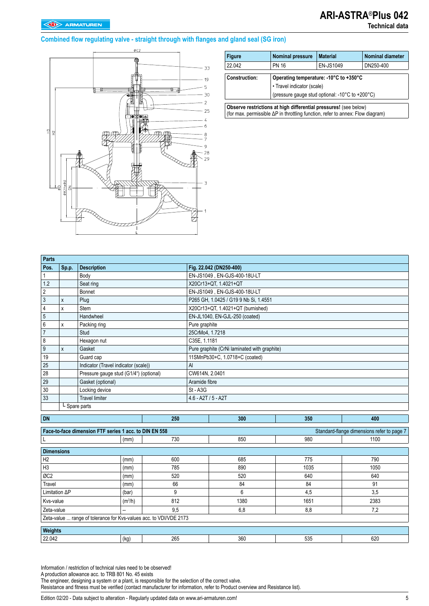# **ARI-ASTRA**®**Plus 042**

### **Technical data**

### **Combined flow regulating valve - straight through with flanges and gland seal (SG iron)**



| <b>Figure</b>              | <b>Nominal pressure</b>                                                                                                                            | <b>Material</b>  | <b>Nominal diameter</b> |  |  |  |  |  |  |  |  |
|----------------------------|----------------------------------------------------------------------------------------------------------------------------------------------------|------------------|-------------------------|--|--|--|--|--|--|--|--|
| 22.042                     | <b>PN 16</b>                                                                                                                                       | <b>EN-JS1049</b> | DN250-400               |  |  |  |  |  |  |  |  |
| <b>Construction:</b>       | Operating temperature: -10°C to +350°C                                                                                                             |                  |                         |  |  |  |  |  |  |  |  |
| • Travel indicator (scale) |                                                                                                                                                    |                  |                         |  |  |  |  |  |  |  |  |
|                            | (pressure gauge stud optional: -10°C to +200°C)                                                                                                    |                  |                         |  |  |  |  |  |  |  |  |
|                            | Observe restrictions at high differential pressures! (see below)<br>(for max. permissible ΔP in throttling function, refer to annex: Flow diagram) |                  |                         |  |  |  |  |  |  |  |  |

| Parts          |       |                                        |                                              |
|----------------|-------|----------------------------------------|----------------------------------------------|
| Pos.           | Sp.p. | <b>Description</b>                     | Fig. 22.042 (DN250-400)                      |
|                |       | Body                                   | EN-JS1049, EN-GJS-400-18U-LT                 |
| 1.2            |       | Seat ring                              | X20Cr13+QT 1.4021+QT                         |
| $\overline{2}$ |       | Bonnet                                 | EN-JS1049, EN-GJS-400-18U-LT                 |
| 3              | X     | Plug                                   | P265 GH, 1.0425 / G19 9 Nb Si, 1.4551        |
| 4              | x     | <b>Stem</b>                            | X20Cr13+QT, 1.4021+QT (burnished)            |
| $\overline{5}$ |       | Handwheel                              | EN-JL1040, EN-GJL-250 (coated)               |
| $6\,$          | x     | Packing ring                           | Pure graphite                                |
| $\overline{7}$ |       | Stud                                   | 25CrMo4, 1.7218                              |
| 8              |       | Hexagon nut                            | C35E, 1.1181                                 |
| 9              | X     | Gasket                                 | Pure graphite (CrNi laminated with graphite) |
| 19             |       | Guard cap                              | 11SMnPb30+C, 1.0718+C (coated)               |
| 25             |       | Indicator (Travel indicator (scale))   | AI                                           |
| 28             |       | Pressure gauge stud (G1/4") (optional) | CW614N, 2.0401                               |
| 29             |       | Gasket (optional)                      | Aramide fibre                                |
| 30             |       | Locking device                         | St - A3G                                     |
| 33             |       | <b>Travel limiter</b>                  | $4.6 - A2T / 5 - A2T$                        |
|                |       | - Spare parts                          |                                              |

| <b>DN</b>                                                          |                     | 250 | 300  | 350  | 400                                        |  |  |  |  |
|--------------------------------------------------------------------|---------------------|-----|------|------|--------------------------------------------|--|--|--|--|
| Face-to-face dimension FTF series 1 acc. to DIN EN 558             |                     |     |      |      | Standard-flange dimensions refer to page 7 |  |  |  |  |
|                                                                    | (mm)                | 730 | 850  | 980  | 1100                                       |  |  |  |  |
| <b>Dimensions</b>                                                  |                     |     |      |      |                                            |  |  |  |  |
| H <sub>2</sub>                                                     | (mm)                | 600 | 685  | 775  | 790                                        |  |  |  |  |
| H <sub>3</sub>                                                     | (mm)                | 785 | 890  | 1035 | 1050                                       |  |  |  |  |
| ØC <sub>2</sub>                                                    | (mm)                | 520 | 520  | 640  | 640                                        |  |  |  |  |
| Travel                                                             | (mm)                | 66  | 84   | 84   | 91                                         |  |  |  |  |
| Limitation AP                                                      | (bar)               | 9   | 6    | 4,5  | 3,5                                        |  |  |  |  |
| Kvs-value                                                          | (m <sup>3</sup> /h) | 812 | 1380 | 1651 | 2383                                       |  |  |  |  |
| Zeta-value                                                         | --                  | 9,5 | 6,8  | 8,8  | 7,2                                        |  |  |  |  |
| Zeta-value  range of tolerance for Kvs-values acc. to VDI/VDE 2173 |                     |     |      |      |                                            |  |  |  |  |
| Weights                                                            |                     |     |      |      |                                            |  |  |  |  |
| 22.042                                                             | (kg)                | 265 | 360  | 535  | 620                                        |  |  |  |  |

Information / restriction of technical rules need to be observed!

A production allowance acc. to TRB 801 No. 45 exists

The engineer, designing a system or a plant, is responsible for the selection of the correct valve.

Resistance and fitness must be verified (contact manufacturer for information, refer to Product overview and Resistance list).

Edition 02/20 - Data subject to alteration - Regularly updated data on www.ari-armaturen.com!<br>5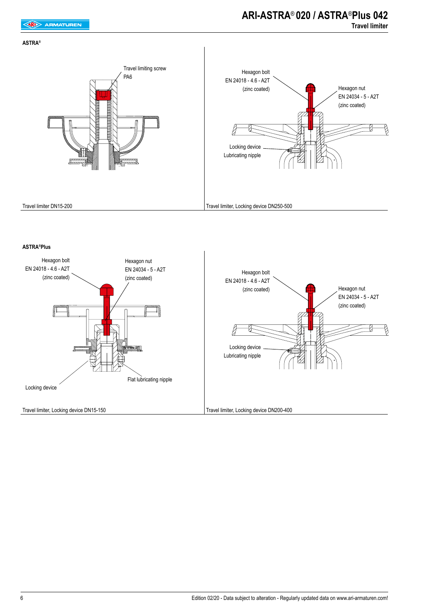### **ARI-ASTRA**® **020 / ASTRA**®**Plus 042 Travel limiter**



#### **ASTRA®Plus**

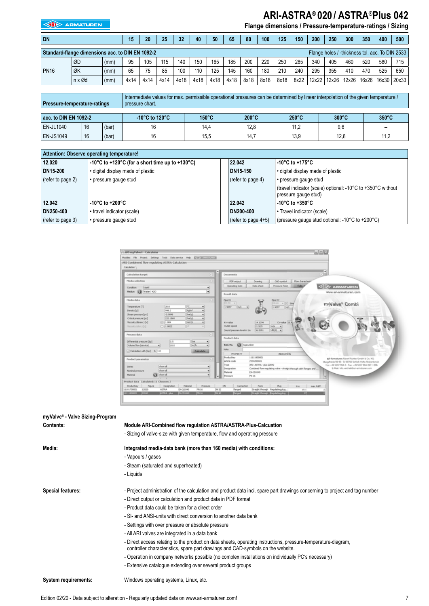## **ARI-ASTRA**® **020 / ASTRA**®**Plus 042**

**EXAMPLE ARMATUREN** 

## **Flange dimensions / Pressure-temperature-ratings / Sizing**

| <b>DN</b>   |                                                  |      | 15   | 20   | 25   | 32   | 40   | 50   | 65   | 80   | 100  | 125  | 150  | 200   | 250   | 300   | 350                                             | 400         | 500 |
|-------------|--------------------------------------------------|------|------|------|------|------|------|------|------|------|------|------|------|-------|-------|-------|-------------------------------------------------|-------------|-----|
|             | Standard flange dimensions acc. to DIN EN 1092-2 |      |      |      |      |      |      |      |      |      |      |      |      |       |       |       | Flange holes / -thickness tol. acc. To DIN 2533 |             |     |
|             | ØD                                               | (mm) | 95   | 105  | 115  | 140  | 150  | 165  | 185  | 200  | 220  | 250  | 285  | 340   | 405   | 460   | 520                                             | 580         | 715 |
| <b>PN16</b> | ØK                                               | (mm) | 65   | 75   | 85   | 100  | 110  | 125  | 145  | 160  | 180  | 210  | 240  | 295   | 355   | 410   | 470                                             | 525         | 650 |
|             | $n \times \emptyset$ d                           | (mm) | 4x14 | 4x14 | 4x14 | 4x18 | 4x18 | 4x18 | 4x18 | 8x18 | 8x18 | 8x18 | 8x22 | 12x22 | 12x26 | 12x26 | 16x26                                           | 16x30 20x33 |     |

| <b>Pressure-temperature-ratings</b> |    |                                      | Intermediate values for max, permissible operational pressures can be determined by linear interpolation of the given temperature /<br>pressure chart. |                 |                 |                 |                 |                          |
|-------------------------------------|----|--------------------------------------|--------------------------------------------------------------------------------------------------------------------------------------------------------|-----------------|-----------------|-----------------|-----------------|--------------------------|
|                                     |    |                                      |                                                                                                                                                        |                 |                 |                 |                 |                          |
| acc. to DIN EN 1092-2               |    | -10 $^{\circ}$ C to 120 $^{\circ}$ C | $150^{\circ}$ C                                                                                                                                        | $200^{\circ}$ C | $250^{\circ}$ C | $300^{\circ}$ C | $350^{\circ}$ C |                          |
| <b>EN-JL1040</b>                    | 16 | (bar)                                |                                                                                                                                                        | 14.4            | 12,8            | 11,2            | 9.6             | $\overline{\phantom{a}}$ |
| <b>EN-JS1049</b>                    | 16 | (bar)                                |                                                                                                                                                        | 15.5            | 14.7            | 13,9            | 12.8            | 11,2                     |

| Attention: Observe operating temperature! |                                                                                         |  |                        |                                                                                     |  |
|-------------------------------------------|-----------------------------------------------------------------------------------------|--|------------------------|-------------------------------------------------------------------------------------|--|
| 12.020                                    | 22.042<br>-10 $\degree$ C to +120 $\degree$ C (for a short time up to +130 $\degree$ C) |  | -10°C to +175°C        |                                                                                     |  |
| DN15-200                                  | · digital display made of plastic                                                       |  | DN15-150               | • digital display made of plastic                                                   |  |
| (refer to page 2)                         | • pressure gauge stud                                                                   |  | (refer to page 4)      | • pressure gauge stud                                                               |  |
|                                           |                                                                                         |  |                        | (travel indicator (scale) optional: -10°C to +350°C without<br>pressure gauge stud) |  |
| 12.042                                    | -10°C to +200°C                                                                         |  | 22.042                 | -10 $\mathrm{^{\circ}C}$ to +350 $\mathrm{^{\circ}C}$                               |  |
| DN250-400                                 | • travel indicator (scale)                                                              |  | DN200-400              | • Travel indicator (scale)                                                          |  |
| (refer to page 3)                         | • pressure gauge stud                                                                   |  | (refer to page $4+5$ ) | (pressure gauge stud optional: -10 $\degree$ C to +200 $\degree$ C)                 |  |



| myValve® - Valve Sizing-Program |                                                                                                                                                                                                  |
|---------------------------------|--------------------------------------------------------------------------------------------------------------------------------------------------------------------------------------------------|
| Contents:                       | Module ARI-Combined flow regulation ASTRA/ASTRA-Plus-Calcuation                                                                                                                                  |
|                                 | - Sizing of valve-size with given temperature, flow and operating pressure                                                                                                                       |
| Media:                          | Integrated media-data bank (more than 160 media) with conditions:                                                                                                                                |
|                                 | - Vapours / gases                                                                                                                                                                                |
|                                 | - Steam (saturated and superheated)                                                                                                                                                              |
|                                 | - Liquids                                                                                                                                                                                        |
| <b>Special features:</b>        | - Project administration of the calculation and product data incl. spare part drawings concerning to project and tag number                                                                      |
|                                 | - Direct output or calculation and product data in PDF format                                                                                                                                    |
|                                 | - Product data could be taken for a direct order                                                                                                                                                 |
|                                 | - SI- and ANSI-units with direct conversion to another data bank                                                                                                                                 |
|                                 | - Settings with over pressure or absolute pressure                                                                                                                                               |
|                                 | - All ARI valves are integrated in a data bank                                                                                                                                                   |
|                                 | - Direct access relating to the product on data sheets, operating instructions, pressure-temperature-diagram,<br>controller characteristics, spare part drawings and CAD-symbols on the website. |
|                                 | - Operation in company networks possible (no complex installations on individually PC's necessary)                                                                                               |
|                                 | - Extensive catalogue extending over several product groups                                                                                                                                      |
| System requirements:            | Windows operating systems, Linux, etc.                                                                                                                                                           |